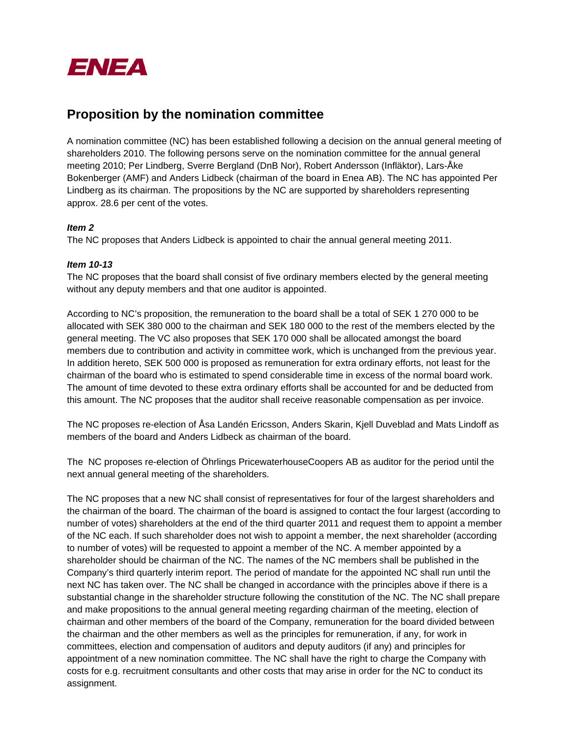

## **Proposition by the nomination committee**

A nomination committee (NC) has been established following a decision on the annual general meeting of shareholders 2010. The following persons serve on the nomination committee for the annual general meeting 2010; Per Lindberg, Sverre Bergland (DnB Nor), Robert Andersson (Infläktor), Lars-Åke Bokenberger (AMF) and Anders Lidbeck (chairman of the board in Enea AB). The NC has appointed Per Lindberg as its chairman. The propositions by the NC are supported by shareholders representing approx. 28.6 per cent of the votes.

### *Item 2*

The NC proposes that Anders Lidbeck is appointed to chair the annual general meeting 2011.

### *Item 10-13*

The NC proposes that the board shall consist of five ordinary members elected by the general meeting without any deputy members and that one auditor is appointed.

According to NC's proposition, the remuneration to the board shall be a total of SEK 1 270 000 to be allocated with SEK 380 000 to the chairman and SEK 180 000 to the rest of the members elected by the general meeting. The VC also proposes that SEK 170 000 shall be allocated amongst the board members due to contribution and activity in committee work, which is unchanged from the previous year. In addition hereto, SEK 500 000 is proposed as remuneration for extra ordinary efforts, not least for the chairman of the board who is estimated to spend considerable time in excess of the normal board work. The amount of time devoted to these extra ordinary efforts shall be accounted for and be deducted from this amount. The NC proposes that the auditor shall receive reasonable compensation as per invoice.

The NC proposes re-election of Åsa Landén Ericsson, Anders Skarin, Kjell Duveblad and Mats Lindoff as members of the board and Anders Lidbeck as chairman of the board.

The NC proposes re-election of Öhrlings PricewaterhouseCoopers AB as auditor for the period until the next annual general meeting of the shareholders.

The NC proposes that a new NC shall consist of representatives for four of the largest shareholders and the chairman of the board. The chairman of the board is assigned to contact the four largest (according to number of votes) shareholders at the end of the third quarter 2011 and request them to appoint a member of the NC each. If such shareholder does not wish to appoint a member, the next shareholder (according to number of votes) will be requested to appoint a member of the NC. A member appointed by a shareholder should be chairman of the NC. The names of the NC members shall be published in the Company's third quarterly interim report. The period of mandate for the appointed NC shall run until the next NC has taken over. The NC shall be changed in accordance with the principles above if there is a substantial change in the shareholder structure following the constitution of the NC. The NC shall prepare and make propositions to the annual general meeting regarding chairman of the meeting, election of chairman and other members of the board of the Company, remuneration for the board divided between the chairman and the other members as well as the principles for remuneration, if any, for work in committees, election and compensation of auditors and deputy auditors (if any) and principles for appointment of a new nomination committee. The NC shall have the right to charge the Company with costs for e.g. recruitment consultants and other costs that may arise in order for the NC to conduct its assignment.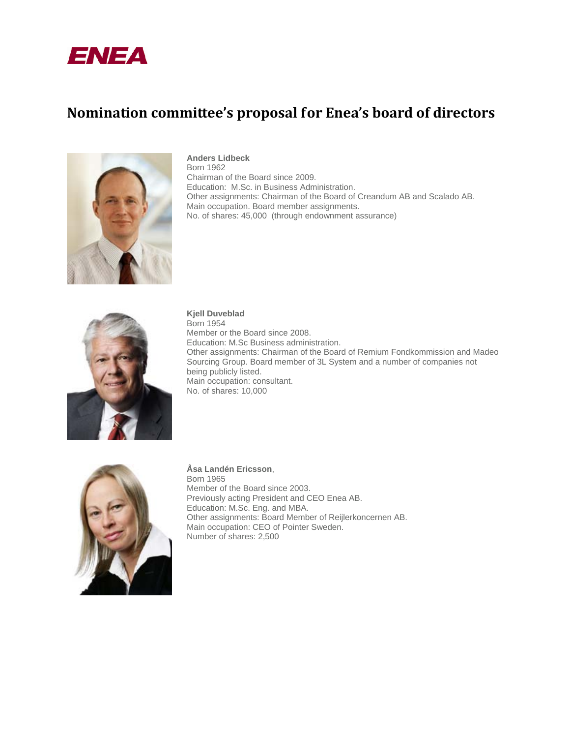

# **Nomination committee's proposal for Enea's board of directors**



### **Anders Lidbeck**

Born 1962 Chairman of the Board since 2009. Education: M.Sc. in Business Administration. Other assignments: Chairman of the Board of Creandum AB and Scalado AB. Main occupation. Board member assignments. No. of shares: 45,000 (through endownment assurance)



**Kjell Duveblad**

Born 1954 Member or the Board since 2008. Education: M.Sc Business administration. Other assignments: Chairman of the Board of Remium Fondkommission and Madeo Sourcing Group. Board member of 3L System and a number of companies not being publicly listed. Main occupation: consultant. No. of shares: 10,000



**Åsa Landén Ericsson**, Born 1965 Member of the Board since 2003. Previously acting President and CEO Enea AB. Education: M.Sc. Eng. and MBA. Other assignments: Board Member of Reijlerkoncernen AB. Main occupation: CEO of Pointer Sweden. Number of shares: 2,500